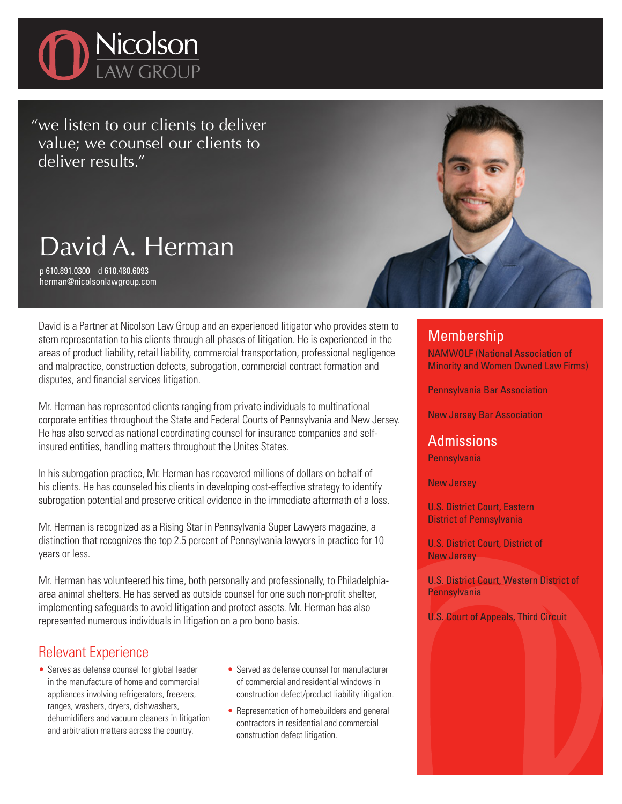

"we listen to our clients to deliver value; we counsel our clients to deliver results."

# David A. Herman

p 610.891.0300 d 610.480.6093 herman@nicolsonlawgroup.com

David is a Partner at Nicolson Law Group and an experienced litigator who provides stem to stern representation to his clients through all phases of litigation. He is experienced in the areas of product liability, retail liability, commercial transportation, professional negligence and malpractice, construction defects, subrogation, commercial contract formation and disputes, and financial services litigation.

Mr. Herman has represented clients ranging from private individuals to multinational corporate entities throughout the State and Federal Courts of Pennsylvania and New Jersey. He has also served as national coordinating counsel for insurance companies and selfinsured entities, handling matters throughout the Unites States.

In his subrogation practice, Mr. Herman has recovered millions of dollars on behalf of his clients. He has counseled his clients in developing cost-effective strategy to identify subrogation potential and preserve critical evidence in the immediate aftermath of a loss.

Mr. Herman is recognized as a Rising Star in Pennsylvania Super Lawyers magazine, a distinction that recognizes the top 2.5 percent of Pennsylvania lawyers in practice for 10 years or less.

Mr. Herman has volunteered his time, both personally and professionally, to Philadelphiaarea animal shelters. He has served as outside counsel for one such non-profit shelter, implementing safeguards to avoid litigation and protect assets. Mr. Herman has also represented numerous individuals in litigation on a pro bono basis.

## Relevant Experience

- Serves as defense counsel for global leader in the manufacture of home and commercial appliances involving refrigerators, freezers, ranges, washers, dryers, dishwashers, dehumidifiers and vacuum cleaners in litigation and arbitration matters across the country.
- Served as defense counsel for manufacturer of commercial and residential windows in construction defect/product liability litigation.
- Representation of homebuilders and general contractors in residential and commercial construction defect litigation.

### **Membership**

NAMWOLF (National Association of Minority and Women Owned Law Firms)

Pennsylvania Bar Association

New Jersey Bar Association

## Admissions

**Pennsylvania** 

New Jersey

U.S. District Court, Eastern District of Pennsylvania

U.S. District Court, District of New Jersey

U.S. District Court, Western District of **Pennsylvania** 

U.S. Court of Appeals, Third Circuit